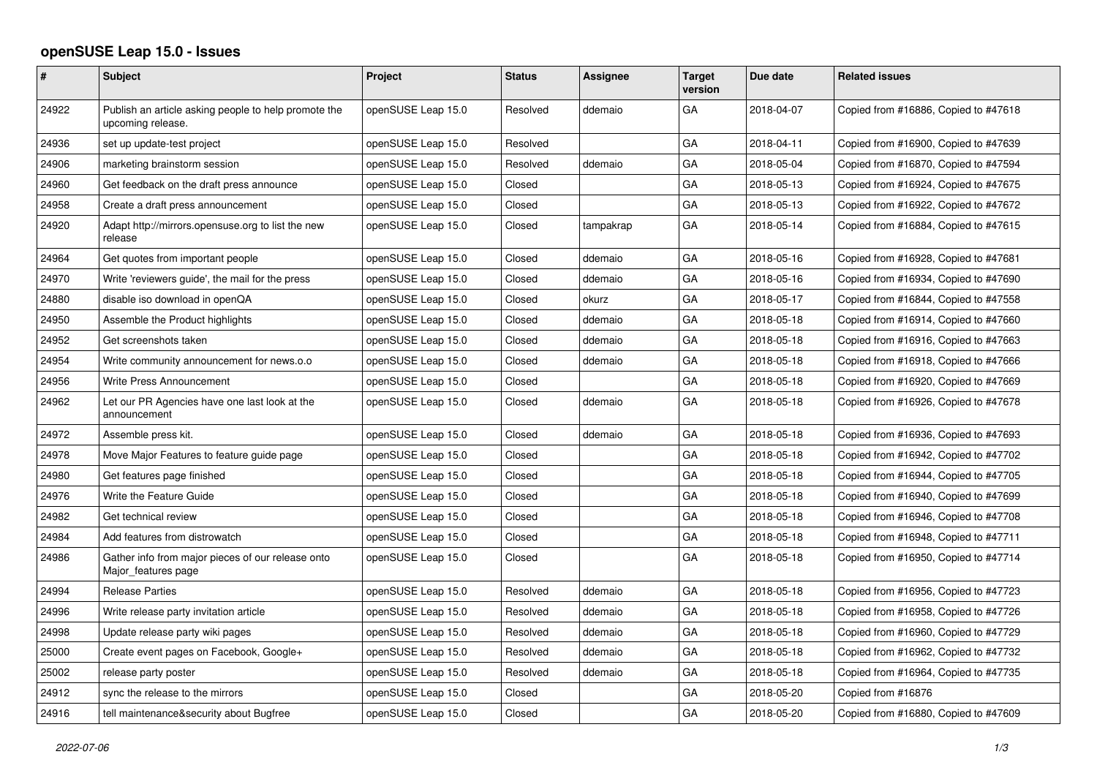## **openSUSE Leap 15.0 - Issues**

| #     | Subject                                                                   | Project            | <b>Status</b> | Assignee  | <b>Target</b><br>version | Due date   | <b>Related issues</b>                |
|-------|---------------------------------------------------------------------------|--------------------|---------------|-----------|--------------------------|------------|--------------------------------------|
| 24922 | Publish an article asking people to help promote the<br>upcoming release. | openSUSE Leap 15.0 | Resolved      | ddemaio   | GA                       | 2018-04-07 | Copied from #16886, Copied to #47618 |
| 24936 | set up update-test project                                                | openSUSE Leap 15.0 | Resolved      |           | GA                       | 2018-04-11 | Copied from #16900, Copied to #47639 |
| 24906 | marketing brainstorm session                                              | openSUSE Leap 15.0 | Resolved      | ddemaio   | GA                       | 2018-05-04 | Copied from #16870, Copied to #47594 |
| 24960 | Get feedback on the draft press announce                                  | openSUSE Leap 15.0 | Closed        |           | GA                       | 2018-05-13 | Copied from #16924, Copied to #47675 |
| 24958 | Create a draft press announcement                                         | openSUSE Leap 15.0 | Closed        |           | GA                       | 2018-05-13 | Copied from #16922, Copied to #47672 |
| 24920 | Adapt http://mirrors.opensuse.org to list the new<br>release              | openSUSE Leap 15.0 | Closed        | tampakrap | GA                       | 2018-05-14 | Copied from #16884, Copied to #47615 |
| 24964 | Get quotes from important people                                          | openSUSE Leap 15.0 | Closed        | ddemaio   | GA                       | 2018-05-16 | Copied from #16928, Copied to #47681 |
| 24970 | Write 'reviewers guide', the mail for the press                           | openSUSE Leap 15.0 | Closed        | ddemaio   | GA                       | 2018-05-16 | Copied from #16934, Copied to #47690 |
| 24880 | disable iso download in openQA                                            | openSUSE Leap 15.0 | Closed        | okurz     | GA                       | 2018-05-17 | Copied from #16844, Copied to #47558 |
| 24950 | Assemble the Product highlights                                           | openSUSE Leap 15.0 | Closed        | ddemaio   | GA                       | 2018-05-18 | Copied from #16914, Copied to #47660 |
| 24952 | Get screenshots taken                                                     | openSUSE Leap 15.0 | Closed        | ddemaio   | GA                       | 2018-05-18 | Copied from #16916, Copied to #47663 |
| 24954 | Write community announcement for news.o.o                                 | openSUSE Leap 15.0 | Closed        | ddemaio   | GA                       | 2018-05-18 | Copied from #16918, Copied to #47666 |
| 24956 | Write Press Announcement                                                  | openSUSE Leap 15.0 | Closed        |           | GA                       | 2018-05-18 | Copied from #16920, Copied to #47669 |
| 24962 | Let our PR Agencies have one last look at the<br>announcement             | openSUSE Leap 15.0 | Closed        | ddemaio   | GA                       | 2018-05-18 | Copied from #16926, Copied to #47678 |
| 24972 | Assemble press kit.                                                       | openSUSE Leap 15.0 | Closed        | ddemaio   | GA                       | 2018-05-18 | Copied from #16936, Copied to #47693 |
| 24978 | Move Major Features to feature guide page                                 | openSUSE Leap 15.0 | Closed        |           | GA                       | 2018-05-18 | Copied from #16942, Copied to #47702 |
| 24980 | Get features page finished                                                | openSUSE Leap 15.0 | Closed        |           | GA                       | 2018-05-18 | Copied from #16944, Copied to #47705 |
| 24976 | Write the Feature Guide                                                   | openSUSE Leap 15.0 | Closed        |           | GA                       | 2018-05-18 | Copied from #16940, Copied to #47699 |
| 24982 | Get technical review                                                      | openSUSE Leap 15.0 | Closed        |           | GA                       | 2018-05-18 | Copied from #16946, Copied to #47708 |
| 24984 | Add features from distrowatch                                             | openSUSE Leap 15.0 | Closed        |           | GA                       | 2018-05-18 | Copied from #16948, Copied to #47711 |
| 24986 | Gather info from major pieces of our release onto<br>Major features page  | openSUSE Leap 15.0 | Closed        |           | GA                       | 2018-05-18 | Copied from #16950, Copied to #47714 |
| 24994 | <b>Release Parties</b>                                                    | openSUSE Leap 15.0 | Resolved      | ddemaio   | GA                       | 2018-05-18 | Copied from #16956, Copied to #47723 |
| 24996 | Write release party invitation article                                    | openSUSE Leap 15.0 | Resolved      | ddemaio   | GA                       | 2018-05-18 | Copied from #16958, Copied to #47726 |
| 24998 | Update release party wiki pages                                           | openSUSE Leap 15.0 | Resolved      | ddemaio   | GA                       | 2018-05-18 | Copied from #16960, Copied to #47729 |
| 25000 | Create event pages on Facebook, Google+                                   | openSUSE Leap 15.0 | Resolved      | ddemaio   | GA                       | 2018-05-18 | Copied from #16962, Copied to #47732 |
| 25002 | release party poster                                                      | openSUSE Leap 15.0 | Resolved      | ddemaio   | GA                       | 2018-05-18 | Copied from #16964, Copied to #47735 |
| 24912 | sync the release to the mirrors                                           | openSUSE Leap 15.0 | Closed        |           | GA                       | 2018-05-20 | Copied from #16876                   |
| 24916 | tell maintenance&security about Bugfree                                   | openSUSE Leap 15.0 | Closed        |           | GA                       | 2018-05-20 | Copied from #16880, Copied to #47609 |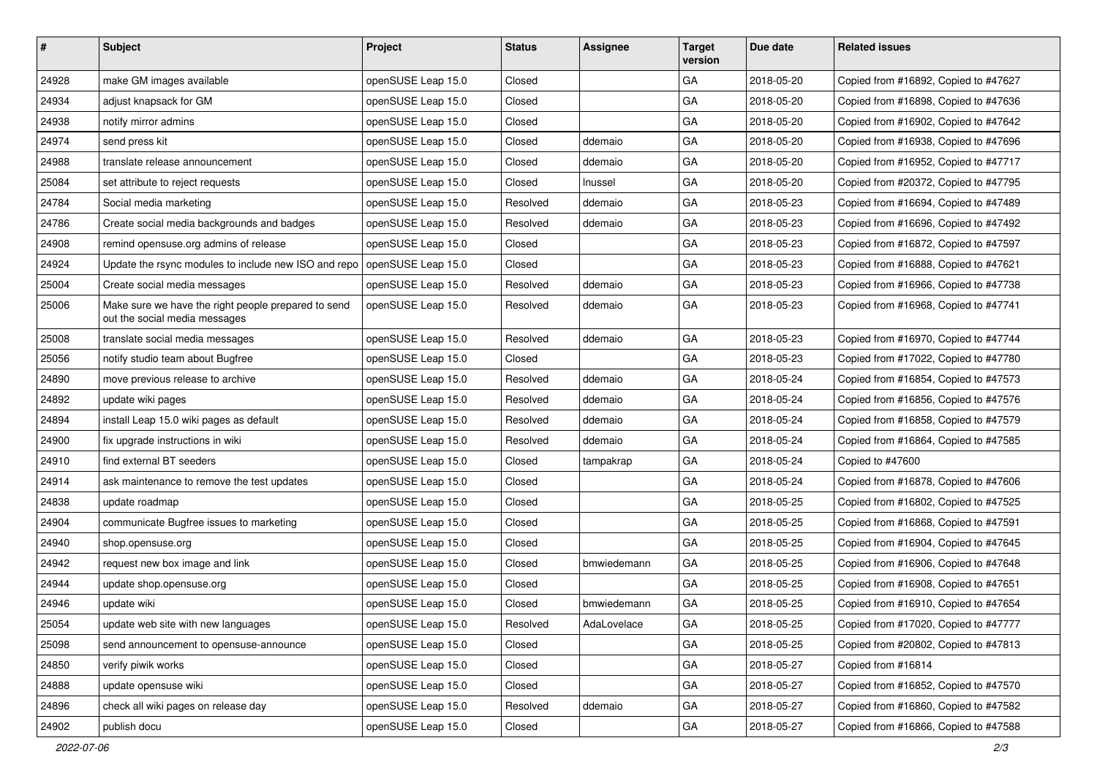| #     | <b>Subject</b>                                                                       | Project            | <b>Status</b> | <b>Assignee</b> | <b>Target</b><br>version | Due date   | <b>Related issues</b>                |
|-------|--------------------------------------------------------------------------------------|--------------------|---------------|-----------------|--------------------------|------------|--------------------------------------|
| 24928 | make GM images available                                                             | openSUSE Leap 15.0 | Closed        |                 | GA                       | 2018-05-20 | Copied from #16892, Copied to #47627 |
| 24934 | adjust knapsack for GM                                                               | openSUSE Leap 15.0 | Closed        |                 | GA                       | 2018-05-20 | Copied from #16898, Copied to #47636 |
| 24938 | notify mirror admins                                                                 | openSUSE Leap 15.0 | Closed        |                 | GA                       | 2018-05-20 | Copied from #16902, Copied to #47642 |
| 24974 | send press kit                                                                       | openSUSE Leap 15.0 | Closed        | ddemaio         | GA                       | 2018-05-20 | Copied from #16938, Copied to #47696 |
| 24988 | translate release announcement                                                       | openSUSE Leap 15.0 | Closed        | ddemaio         | GA                       | 2018-05-20 | Copied from #16952, Copied to #47717 |
| 25084 | set attribute to reject requests                                                     | openSUSE Leap 15.0 | Closed        | Inussel         | GA                       | 2018-05-20 | Copied from #20372, Copied to #47795 |
| 24784 | Social media marketing                                                               | openSUSE Leap 15.0 | Resolved      | ddemaio         | GA                       | 2018-05-23 | Copied from #16694, Copied to #47489 |
| 24786 | Create social media backgrounds and badges                                           | openSUSE Leap 15.0 | Resolved      | ddemaio         | GA                       | 2018-05-23 | Copied from #16696, Copied to #47492 |
| 24908 | remind opensuse.org admins of release                                                | openSUSE Leap 15.0 | Closed        |                 | GA                       | 2018-05-23 | Copied from #16872, Copied to #47597 |
| 24924 | Update the rsync modules to include new ISO and repo                                 | openSUSE Leap 15.0 | Closed        |                 | GA                       | 2018-05-23 | Copied from #16888, Copied to #47621 |
| 25004 | Create social media messages                                                         | openSUSE Leap 15.0 | Resolved      | ddemaio         | GA                       | 2018-05-23 | Copied from #16966, Copied to #47738 |
| 25006 | Make sure we have the right people prepared to send<br>out the social media messages | openSUSE Leap 15.0 | Resolved      | ddemaio         | GA                       | 2018-05-23 | Copied from #16968, Copied to #47741 |
| 25008 | translate social media messages                                                      | openSUSE Leap 15.0 | Resolved      | ddemaio         | GA                       | 2018-05-23 | Copied from #16970, Copied to #47744 |
| 25056 | notify studio team about Bugfree                                                     | openSUSE Leap 15.0 | Closed        |                 | GA                       | 2018-05-23 | Copied from #17022, Copied to #47780 |
| 24890 | move previous release to archive                                                     | openSUSE Leap 15.0 | Resolved      | ddemaio         | GA                       | 2018-05-24 | Copied from #16854, Copied to #47573 |
| 24892 | update wiki pages                                                                    | openSUSE Leap 15.0 | Resolved      | ddemaio         | GA                       | 2018-05-24 | Copied from #16856, Copied to #47576 |
| 24894 | install Leap 15.0 wiki pages as default                                              | openSUSE Leap 15.0 | Resolved      | ddemaio         | GA                       | 2018-05-24 | Copied from #16858, Copied to #47579 |
| 24900 | fix upgrade instructions in wiki                                                     | openSUSE Leap 15.0 | Resolved      | ddemaio         | GA                       | 2018-05-24 | Copied from #16864, Copied to #47585 |
| 24910 | find external BT seeders                                                             | openSUSE Leap 15.0 | Closed        | tampakrap       | GA                       | 2018-05-24 | Copied to #47600                     |
| 24914 | ask maintenance to remove the test updates                                           | openSUSE Leap 15.0 | Closed        |                 | GA                       | 2018-05-24 | Copied from #16878, Copied to #47606 |
| 24838 | update roadmap                                                                       | openSUSE Leap 15.0 | Closed        |                 | GA                       | 2018-05-25 | Copied from #16802, Copied to #47525 |
| 24904 | communicate Bugfree issues to marketing                                              | openSUSE Leap 15.0 | Closed        |                 | GA                       | 2018-05-25 | Copied from #16868, Copied to #47591 |
| 24940 | shop.opensuse.org                                                                    | openSUSE Leap 15.0 | Closed        |                 | GA                       | 2018-05-25 | Copied from #16904, Copied to #47645 |
| 24942 | request new box image and link                                                       | openSUSE Leap 15.0 | Closed        | bmwiedemann     | GA                       | 2018-05-25 | Copied from #16906, Copied to #47648 |
| 24944 | update shop.opensuse.org                                                             | openSUSE Leap 15.0 | Closed        |                 | GA                       | 2018-05-25 | Copied from #16908, Copied to #47651 |
| 24946 | update wiki                                                                          | openSUSE Leap 15.0 | Closed        | bmwiedemann     | GA                       | 2018-05-25 | Copied from #16910, Copied to #47654 |
| 25054 | update web site with new languages                                                   | openSUSE Leap 15.0 | Resolved      | AdaLovelace     | GA                       | 2018-05-25 | Copied from #17020, Copied to #47777 |
| 25098 | send announcement to opensuse-announce                                               | openSUSE Leap 15.0 | Closed        |                 | GA                       | 2018-05-25 | Copied from #20802, Copied to #47813 |
| 24850 | verify piwik works                                                                   | openSUSE Leap 15.0 | Closed        |                 | GA                       | 2018-05-27 | Copied from #16814                   |
| 24888 | update opensuse wiki                                                                 | openSUSE Leap 15.0 | Closed        |                 | GA                       | 2018-05-27 | Copied from #16852, Copied to #47570 |
| 24896 | check all wiki pages on release day                                                  | openSUSE Leap 15.0 | Resolved      | ddemaio         | GA                       | 2018-05-27 | Copied from #16860, Copied to #47582 |
| 24902 | publish docu                                                                         | openSUSE Leap 15.0 | Closed        |                 | GA                       | 2018-05-27 | Copied from #16866, Copied to #47588 |